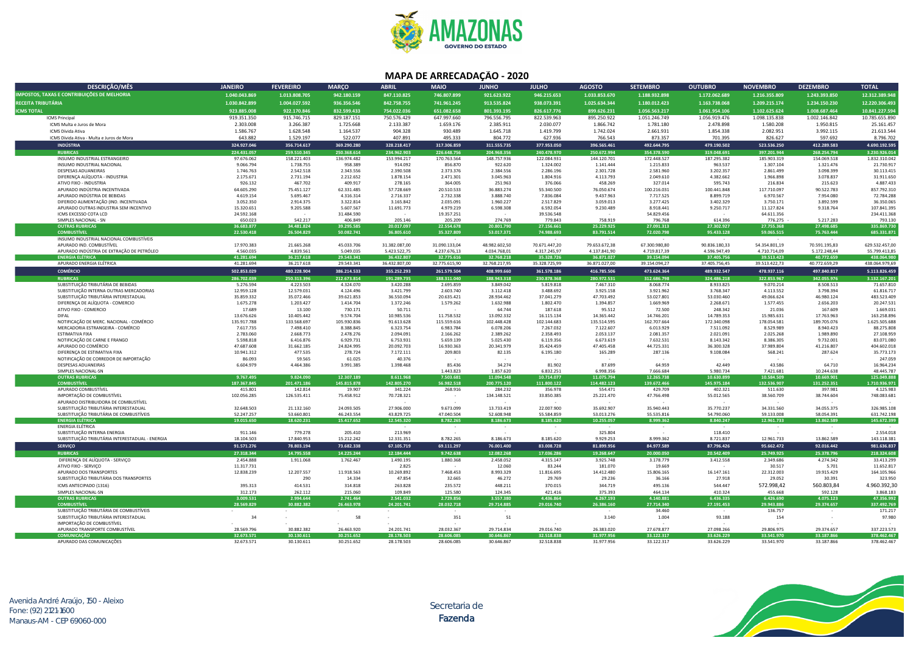

## **MAPA DE ARRECADAÇÃO - 2020**

| DESCRIÇÃO/MÊS                                                                 | <b>JANEIRO</b>            | <b>FEVEREIRO</b>           | <b>MARÇO</b>               | <b>ABRIL</b>               | <b>MAIO</b>                | <b>JUNHO</b>               | <b>JULHO</b>               | <b>AGOSTO</b>              | <b>SETEMBRO</b>            | <b>OUTUBRO</b>             | <b>NOVEMBRO</b>            | <b>DEZEMBRO</b>            | <b>TOTAL</b>                   |
|-------------------------------------------------------------------------------|---------------------------|----------------------------|----------------------------|----------------------------|----------------------------|----------------------------|----------------------------|----------------------------|----------------------------|----------------------------|----------------------------|----------------------------|--------------------------------|
| <b>IMPOSTOS, TAXAS E CONTRIBUIÇÕES DE MELHORIA</b>                            | 1.040.043.869             | 1.013.808.705              | 942.180.159                | 847.110.825                | 746.807.899                | 921.623.922                | 946.215.653                | 1.033.853.670              | 1.188.932.898              | 1.172.062.689              | 1.216.355.809              | 1.243.393.850              | 12.312.389.948                 |
|                                                                               |                           |                            |                            |                            |                            |                            |                            |                            |                            |                            |                            |                            |                                |
| RECEITA TRIBUTÁRIA                                                            | 1.030.842.899             | 1.004.027.592              | 936.356.546                | 842.758.755                | 741.961.245                | 913.535.824                | 938.073.391                | 1.025.634.344              | 1.180.012.423              | 1.163.738.068              | 1.209.215.174              | 1.234.150.230              | 12.220.306.493                 |
| <b>ICMS TOTAL</b>                                                             | 923.885.008               | 922.170.846                | 832.599.433                | 754.022.036                | 651.082.658                | 801.393.195                | 826.617.776                | 899.626.231                | 1.056.563.217              | 1.061.954.106              | 1.102.625.624              | 1.008.687.464              | 10.841.227.594                 |
| <b>ICMS Principal</b>                                                         | 919.351.350               | 915.746.715                | 829.187.151                | 750.576.429                | 647.997.660                | 796.556.795                | 822.539.963                | 895.250.922                | 1.051.246.749              | 1.056.919.476              | 1.098.135.838              | 1.002.146.842              | 10.785.655.890                 |
| ICMS Multa e Juros de Mora<br>ICMS Dívida Ativa                               | 2.303.008<br>1.586.767    | 3.266.387<br>1.628.548     | 1.725.668<br>1.164.537     | 2.133.387<br>904.328       | 1.659.176<br>930.489       | 2.385.911<br>1.645.718     | 2.030.077<br>1.419.799     | 1.866.742<br>1.742.024     | 1.781.180<br>2.661.931     | 2.478.898<br>1.854.338     | 1.580.208<br>2.082.951     | 1.950.815<br>3.992.115     | 25.161.457<br>21.613.544       |
| ICMS Dívida Ativa - Multa e Juros de Mora                                     | 643.882                   | 1.529.197                  | 522.077                    | 407.891                    | 495.333                    | 804.772                    | 627.936                    | 766.543                    | 873.357                    | 701.395                    | 826.627                    | 597.692                    | 8.796.702                      |
| <b>INDÚSTRIA</b>                                                              |                           |                            |                            |                            |                            |                            |                            |                            | 492.644.795                |                            |                            |                            |                                |
| <b>RUBRICAS</b>                                                               | 324.927.046               | 356.714.617                | 369.290.280                | 328.218.417<br>234.962.903 | 317.306.859<br>226.648.756 | 311.555.735<br>204.968.356 | 377.953.050                | 396.565.461                |                            | 479.190.502                | 523.536.250                | 412.289.583                | 4.690.192.595<br>3.230.926.014 |
| INSUMO INDUSTRIAL ESTRANGEIRO                                                 | 224.431.057<br>97.676.062 | 259.510.345<br>158.221.403 | 250.368.614<br>136.974.482 | 153.994.217                | 170.763.564                | 148.757.936                | 240.478.970<br>122.084.931 | 250.672.994<br>144.120.701 | 354.378.590<br>172.448.527 | 319.048.691<br>187.295.382 | 397.201.944<br>185.903.319 | 268.254.794<br>154.069.518 | 1.832.310.042                  |
| INSUMO INDUSTRIAL NACIONAL                                                    | 9.066.794                 | 1.738.755                  | 958.389                    | 914.092                    | 856.870                    | 922.620                    | 1.324.002                  | 1.141.444                  | 1.215.833                  | 963.537                    | 1.307.104                  | 1.321.476                  | 21.730.917                     |
| DESPESAS ADUANEIRAS                                                           | 1.746.763                 | 2.542.518                  | 2.343.556                  | 2.390.508                  | 2.373.376                  | 2.384.556                  | 2.286.196                  | 2.301.728                  | 2.581.960                  | 3.202.357                  | 2.861.499                  | 3.098.399                  | 30.113.415                     |
| DIFERENCA ALÍQUOTA - INDUSTRIA                                                | 2.175.671                 | 2.731.194                  | 2.212.652                  | 1.878.154                  | 2.471.301                  | 3.045.963                  | 1.804.916                  | 4.113.793                  | 2.049.610                  | 4.382.662                  | 1.966.898                  | 3.078.837                  | 31.911.650                     |
| ATIVO FIXO - INDUSTRIA                                                        | 926.132                   | 467.702                    | 409.917                    | 278.165                    | 364.005                    | 251.963                    | 376.066                    | 458.269                    | 327.014                    | 595.743                    | 216.834                    | 215.623                    | 4.887.433                      |
| APURADO INDÚSTRIA INCENTIVADA                                                 | 64.605.290                | 75.451.127                 | 62.331.485                 | 57.728.669                 | 20.510.533                 | 36.883.274                 | 55.340.500                 | 76.050.674                 | 100.216.031                | 100.441.848                | 117.710.097                | 90.522.783                 | 857.792.310                    |
| APURADO INDÚSTRIA DE BEBIDAS                                                  | 4.619.154                 | 5.695.467                  | 4.316.314                  | 2.716.337                  | 2.732.338                  | 3.888.740                  | 7.836.084                  | 9.437.963                  | 7.717.525                  | 8.899.719                  | 6.970.567                  | 7.954.080                  | 72.784.288                     |
| DIFERIDO ALIMENTAÇÃO (IND. INCENTIVADA                                        | 3.052.350                 | 2.914.375                  | 3.322.814                  | 3.165.842                  | 2.035.091                  | 1.960.227                  | 2.517.829                  | 3.059.013                  | 3.277.425                  | 3.402.329                  | 3.750.171                  | 3.892.599                  | 36.350.065                     |
| APURADO OUTRAS INDUSTRIA SEM INCENTIVO<br>ICMS EXCESSO COTA LCD               | 15.320.651<br>24.592.168  | 9.205.588<br>$\sim$        | 5.607.567<br>31.484.590    | 11.691.773<br>$\sim$       | 4.979.219<br>19.357.251    | 6.598.308<br>$\sim$        | 6.592.054<br>39.536.548    | 9.230.489                  | 8.918.441<br>54.829.456    | 9.250.717                  | 11.127.824<br>64.611.356   | 9.318.764<br>$\sim$ $-$    | 107.841.395<br>234.411.368     |
| SIMPLES NACIONAL - SN                                                         | 650.023                   | 542.217                    | 406.849                    | 205.146                    | 205.209                    | 274.769                    | 779.843                    | 758.919                    | 796.768                    | 614.396                    | 776.275                    | 5.217.283                  | 793.130                        |
| <b>OUTRAS RUBRICAS</b>                                                        | 36.683.877                | 34.481.824                 | 39.295.585                 | 20.017.097                 | 22.554.678                 | 20.801.790                 | 27.156.661                 | 25.229.925                 | 27.091.313                 | 27.302.927                 | 27.755.368                 | 27.498.685                 | 335.869.730                    |
| <b>COMBUSTÍVEL</b>                                                            | 22.530.418                | 26.504.829                 | 50.082.741                 | 36.805.610                 | 35.327.809                 | 53.017.371                 | 74.988.693                 | 83.791.514                 | 72.020.798                 | 95.433.128                 | 59.065.515                 | 75.763.444                 | 685.331.871                    |
| INSUMO INDUSTRIAL NACIONAL COMBUSTÍVEIS                                       |                           |                            |                            | $\sim$                     |                            | $\sim$                     |                            |                            | $\sim$                     |                            | $\sim$                     | $\sim$                     |                                |
| APURADO IND. COMBUSTÍVEL                                                      | 17.970.383                | 21.665.268                 | 45.033.706                 | 31.382.087,00              | 31.090.133,04              | 48.982.602,50              | 70.671.447,20              | 79.653.672,38              | 67.300.980,80              | 90.836.180,33              | 54.354.801,19              | 70.591.195,83              | 629.532.457,00                 |
| APURADO INDÚSTRIA DE EXTRAÇÃO DE PETRÓLEO                                     | 4.560.035                 | 4.839.561                  | 5.049.035                  | 5.423.522,75               | 4.237.676,13               | 4.034.768,01               | 4.317.245,97               | 4.137.841,90               | 4.719.817,39               | 4.596.947,49               | 4.710.714,09               | 5.172.248,44               | 55.799.413,85                  |
| <b>ENERGIA ELÉTRICA</b>                                                       | 41.281.694                | 36.217.618                 | 29.543.341                 | 36.432.807                 | 32.775.616                 | 32.768.218                 | 35.328.726                 | 36.871.027                 | 39.154.094                 | 37.405.756                 | 39.513.423                 | 40.772.659                 | 438.064.980                    |
| APURADO ENERGIA ELÉTRICA                                                      | 41.281.694                | 36.217.618                 | 29.543.341                 | 36.432.807,00              | 32.775.615,90              | 32.768.217,95              | 35.328.725,99              | 36.871.027,00              | 39.154.094,27              | 37.405.756,45              | 39.513.422,73              | 40.772.659,29              | 438.064.979,69                 |
| <b>COMÉRCIO</b>                                                               | 502.853.029               | 480.228.904                | 386.214.533                | 355.252.293                | 261.579.504                | 408.999.660                | 361.578.186                | 416.785.506                | 473.624.364                | 489.932.547                | 478.937.116                | 497.840.817                | 5.113.826.459                  |
| <b>RUBRICAS</b>                                                               | 286.702.039               | 250.313.396                | 212.673.814                | 191.289.735                | 188.311.040                | 188.943.318                | 230.878.368                | 280.972.531                | 312.686.798                | 324.486.218                | 322.853.967                | 342.055.976                | 3.132.167.201                  |
| SUBSTITUIÇÃO TRIBUTÁRIA DE BEBIDAS<br>SUBSTITUICÃO INTERNA OUTRAS MERCADORIAS | 5.276.594<br>12.959.128   | 4.223.503                  | 4.324.070<br>4.124.496     | 3.420.288<br>3.421.799     | 2.695.859<br>2.603.740     | 3.849.042                  | 5.819.818<br>3.488.692     | 7.467.310                  | 8.068.774<br>3.921.962     | 8.933.825<br>3.768.347     | 9.070.214                  | 8.508.513<br>3.798.394     | 71.657.810<br>61.816.717       |
| SUBSTITUIÇÃO TRIBUTÁRIA INTERESTADUAL                                         | 35.859.332                | 12.579.031<br>35.072.466   | 39.621.853                 | 36.550.094                 | 20.635.421                 | 3.112.418<br>28.934.462    | 37.041.279                 | 3.925.158<br>47.703.492    | 53.027.801                 | 53.030.460                 | 4.113.552<br>49.066.624    | 46.980.124                 | 483.523.409                    |
| DIFERENÇA DE ALÍQUOTA - COMERCIO                                              | 1.675.278                 | 1.203.427                  | 1.414.704                  | 1.372.246                  | 1.579.262                  | 1.632.988                  | 1.802.470                  | 1.394.857                  | 1.669.969                  | 2.268.671                  | 1.577.455                  | 2.656.203                  | 20.247.531                     |
| ATIVO FIXO - COMERCIO                                                         | 17.689                    | 13.100                     | 730.171                    | 50.711                     |                            | 64.744                     | 187.618                    | 95.512                     | 72.500                     | 248.342                    | 21.036                     | 167.609                    | 1.669.031                      |
| <b>DIFAL</b>                                                                  | 13.676.626                | 10.405.442                 | 9.574.704                  | 10.985.536                 | 11.758.532                 | 13.092.332                 | 16.115.134                 | 14.365.442                 | 14.746.201                 | 14.789.353                 | 15.985.631                 | 17.763.963                 | 163.258.896                    |
| NOTIFICAÇÃO DE MERC. NACIONAL - COMÉRCIO                                      | 135.917.788               | 133.568.697                | 105.930.836                | 91.613.628                 | 115.559.616                | 102.448.428                | 102.144.683                | 135.514.595                | 162.707.664                | 172.340.098                | 178.054.581                | 189.705.076                | 1.625.505.688                  |
| MERCADORIA ESTRANGEIRA - COMÉRCIO                                             | 7.617.735                 | 7.498.410                  | 8.388.845                  | 6.323.754                  | 6.983.784                  | 6.078.206                  | 7.267.032                  | 7.122.607                  | 6.013.929                  | 7.511.092                  | 8.529.989                  | 8.940.423                  | 88.275.808                     |
| <b>ESTIMATIVA FIXA</b>                                                        | 2.783.060                 | 2.668.773                  | 2.478.276                  | 2.094.091                  | 2.166.262                  | 2.389.262                  | 2.358.493                  | 2.053.137                  | 2.081.357                  | 2.021.091                  | 2.025.268                  | 1.989.890                  | 27.108.959                     |
| NOTIFICAÇÃO DE CARNE E FRANGO                                                 | 5.598.818<br>47.687.608   | 6.416.876                  | 6.929.731                  | 6.753.931                  | 5.659.139                  | 5.025.430                  | 6.119.356                  | 6.673.619                  | 7.632.531                  | 8.143.342                  | 8.386.305                  | 9.732.001<br>41.216.807    | 83.071.080                     |
| APURADO DO COMÉRCIO<br>DIFERENÇA DE ESTIMATIVA FIXA                           | 10.941.312                | 31.662.185<br>477.535      | 24.824.995<br>278.724      | 20.092.703<br>7.172.111    | 16.930.363<br>209.803      | 20.341.979<br>82.135       | 35.424.459<br>6.195.180    | 47.405.458<br>165.289      | 44.725.331<br>287.136      | 36.300.328<br>9.108.084    | 37.989.804<br>568.241      | 287.624                    | 404.602.018<br>35.773.173      |
| NOTIFICAÇÃO DE CORREDOR DE IMPORTAÇÃO                                         | 86.093                    | 59.565                     | 61.025                     | 40.376                     | $\sim$                     | $\sim$                     |                            |                            |                            |                            |                            |                            | 247.059                        |
| DESPESAS ADUANEIRAS                                                           | 6.604.979                 | 4.464.386                  | 3.991.385                  | 1.398.468                  | 85.436                     | 34.274                     | 81.902                     | 87.699                     | 64.959                     | 42.449                     | 43.586                     | 64.710                     | 16.964.234                     |
| SIMPLES NACIONAL-SN                                                           |                           |                            |                            |                            | 1.443.823                  | 1.857.620                  | 6.832.251                  | 6.998.356                  | 7.666.684                  | 5.980.734                  | 7.421.681                  | 10.244.638                 | 48.445.787                     |
| <b>OUTRAS RUBRICAS</b>                                                        | 9.767.495                 | 9.824.090                  | 12.307.189                 | 8.611.968                  | 7.503.681                  | 11.094.548                 | 10.714.077                 | 11.075.794                 | 12.265.738                 | 10.630.899                 | 10.584.509                 | 10.669.901                 | 125.049.888                    |
| <b>COMBUSTÍVEL</b>                                                            | 187.367.845               | 201.471.186                | 145.815.878                | 142.805.270                | 56.982.518                 | 200.775.120                | 111.800.122                | 114.482.123                | 139.672.466                | 145.975.184                | 132.536.907                | 131.252.351                | 1.710.936.971                  |
| APURADO COMBUSTÍVEL                                                           | 415.801                   | 142.814                    | 19.907                     | 341.224                    | 268.916                    | 284.232                    | 356.978                    | 554.471                    | 429.709                    | 402.321                    | 511.630                    | 397.981                    | 4.125.983                      |
| IMPORTAÇÃO DE COMBUSTÍVEL<br>APURADO DISTRIBUIDORA DE COMBUSTÍVEL             | 102.056.285               | 126.535.411                | 75.458.912                 | 70.728.321                 | $\sim$<br>$\sim$           | 134.148.521                | 33.850.385                 | 25.221.470                 | 47.766.498                 | 55.012.565                 | 38.560.709                 | 38.744.604                 | 748.083.681                    |
| SUBSTITUIÇÃO TRIBUTÁRIA INTERESTADUAL                                         | 32.648.503                | 21.132.160                 | 24.093.505                 | 27.906.000                 | 9.673.099                  | 13.733.419                 | 22.007.900                 | 35.692.907                 | 35.940.443                 | 35.770.237                 | 34.331.560                 | 34.055.375                 | 326.985.108                    |
| SUBSTITUIÇÃO TRIBUTÁRIA DE COMBUSTÍVEIS                                       | 52.247.257                | 53.660.801                 | 46.243.554                 | 43.829.725                 | 47.040.504                 | 52.608.948                 | 55.584.859                 | 53.013.276                 | 55.535.816                 | 54.790.060                 | 59.133.008                 | 58.054.391                 | 631.742.198                    |
| <b>ENERGIA ELÉTRICA</b>                                                       | 19.015.650                | 18.620.231                 | 15.417.652                 | 12.545.320                 | 8.782.265                  | 8.186.673                  | 8.185.620                  | 10.255.057                 | 8.999.362                  | 8.840.247                  | 12.961.733                 | 13.862.589                 | 145.672.399                    |
| ENERGIA ELÉTRICA                                                              |                           |                            |                            |                            | $\sim$                     | $\sim$                     | $\sim$ $-$                 |                            | $\sim$                     |                            |                            | $\sim$                     |                                |
| SUBSTITUIÇÃO INTERNA ENERGIA                                                  | 911.146                   | 779.278                    | 205.410                    | 213.969                    | $\sim$                     |                            |                            | 325.804                    | $\sim$                     | 118.410                    |                            | $\sim$                     | 2.554.018                      |
| SUBSTITUIÇÃO TRIBUTÁRIA INTERESTADUAL - ENERGIA                               | 18.104.503                | 17.840.953                 | 15.212.242                 | 12.331.351                 | 8.782.265                  | 8.186.673                  | 8.185.620                  | 9.929.253                  | 8.999.362                  | 8.721.837                  | 12.961.733                 | 13.862.589                 | 143.118.381                    |
| <b>SERVICO</b>                                                                | 91.571.276                | 78.803.194                 | 73.682.338                 | 67.105.719                 | 69.111.297                 | 76.001.400                 | 83.008.728                 | 81.899.956                 | 84.977.589                 | 87.796.426                 | 95.662.472                 | 92.016.442                 | 981.636.837                    |
| <b>RUBRICAS</b>                                                               | 27.318.344                | 14.795.558                 | 14.225.244                 | 12.184.444                 | 9.742.638                  | 12.082.268                 | 17.036.286                 | 19.268.647                 | 20.000.050                 | 20.542.409                 | 25.749.925                 | 25.378.796                 | 218.324.608                    |
| DIFERENÇA DE ALÍQUOTA - SERVIÇO                                               | 2.454.888                 | 1.911.068                  | 1.762.467                  | 1.490.195                  | 1.880.368                  | 2.458.052                  | 4.315.147                  | 3.925.748                  | 3.178.779                  | 3.412.558                  | 2.349.686                  | 4.274.342                  | 33.413.299                     |
| ATIVO FIXO - SERVIÇO                                                          | 11.317.731                |                            |                            | 2.825                      | $\sim$                     | 12.060                     | 83.244                     | 181.070                    | 19.669                     |                            | 30.517                     | 5.701                      | 11.652.817                     |
| APURADO DOS TRANSPORTES<br>SUBSTITUICÃO TRIBUTÁRIA DOS TRANSPORTES            | 12.838.239                | 12.207.557<br>290          | 11.918.563<br>14.334       | 10.269.892<br>47.854       | 7.468.453<br>32.665        | 8.993.329<br>46.272        | 11.816.695<br>29.769       | 14.412.480<br>29.236       | 15.806.165<br>36.166       | 16.147.161<br>27.918       | 22.312.003<br>29.052       | 19.915.429<br>30.391       | 164.105.966<br>323.950         |
|                                                                               |                           |                            |                            |                            |                            |                            |                            |                            |                            | 544.447                    | 572.998,42                 | 560.803,84                 | 4.960.392,30                   |
| ICMS ANTECIPADO (1316)<br>SIMPLES NACIONAL-SN                                 | 395.313<br>312.173        | 414.531<br>262.112         | 314.818<br>215.060         | 263.828<br>109.849         | 235.572<br>125.580         | 448.211<br>124.345         | 370.015<br>421.416         | 344.719<br>375.393         | 495.136<br>464.134         | 410.324                    | 455.668                    | 592.128                    | 3.868.183                      |
| <b>OUTRAS RUBRICAS</b>                                                        | 3.009.531                 | 2.994.644                  | 2.741.464                  | 2.541.032                  | 2.729.856                  | 3.557.380                  | 4.436.864                  | 4.267.193                  | 4.140.881                  | 6.436.335                  | 6.426.690                  | 4.075.123                  | 47.356.992                     |
| <b>COMBUSTIVEL</b>                                                            | 28.569.829                | 30.882.382                 | 26.463.978                 | 24.201.741                 | 28.032.718                 | 29.714.885                 | 29.016.740                 | 26.386.160                 | 27.714.340                 | 27.191.453                 | 29.943.886                 | 29.374.657                 | 337.492.769                    |
| SUBSTITUIÇÃO TRIBUTÁRIA DE COMBUSTÍVEIS                                       |                           | $\sim$                     | <b>Contract</b>            | $\sim$                     | $\sim$                     | $\sim$ $ \sim$             |                            | $\sim$ $ \sim$             | 34.460                     | $\sim$ $ \sim$             | 136.757                    | $\sim$                     | 171.217                        |
| SUBSTITUIÇÃO TRIBUTÁRIA INTERESTADUAL                                         | 34                        |                            | 58                         |                            | 351                        | 51                         |                            | 3.140                      | 1.004                      | 93.188                     | 154                        | $\sim$                     | 97.980                         |
| IMPORTAÇÃO DE COMBUSTÍVEL                                                     |                           |                            |                            |                            |                            |                            |                            |                            |                            |                            |                            |                            |                                |
| APURADO TRANSPORTE COMBUSTÍVEL                                                | 28.569.796                | 30.882.382                 | 26.463.920                 | 24.201.741                 | 28.032.367                 | 29.714.834                 | 29.016.740                 | 26.383.020                 | 27.678.877                 | 27.098.266                 | 29.806.975                 | 29.374.657                 | 337.223.573                    |
| <b>COMUNICAÇÃO</b>                                                            | 32.673.571                | 30.130.611                 | 30.251.652                 | 28.178.503                 | 28.606.085                 | 30.646.867                 | 32.518.838                 | 31.977.956                 | 33.122.317                 | 33.626.229                 | 33.541.970                 | 33.187.866                 | 378.462.467                    |
| APURADO DAS COMUNICAÇÕES                                                      | 32.673.571                | 30.130.611                 | 30.251.652                 | 28.178.503                 | 28.606.085                 | 30.646.867                 | 32.518.838                 | 31.977.956                 | 33.122.317                 | 33.626.229                 | 33.541.970                 | 33.187.866                 | 378.462.467                    |